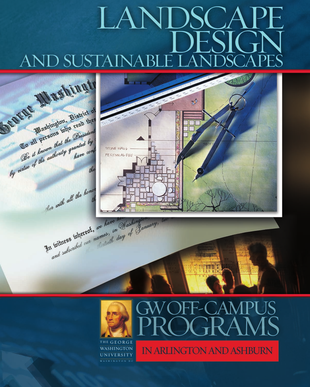# $A N$ **AND SUSTAI**





# IN ARLINGTON AND ASHBURN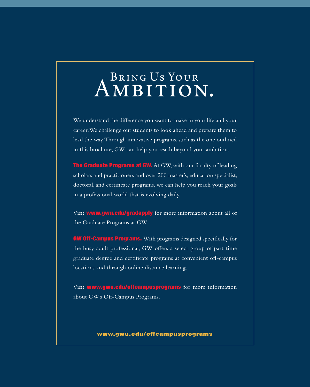# AMBITION.

We understand the difference you want to make in your life and your career. We challenge our students to look ahead and prepare them to lead the way. Through innovative programs, such as the one outlined in this brochure, GW can help you reach beyond your ambition.

**The Graduate Programs at GW.** At GW, with our faculty of leading scholars and practitioners and over 200 master's, education specialist, doctoral, and certificate programs, we can help you reach your goals in a professional world that is evolving daily.

Visit **www.gwu.edu/gradapply** for more information about all of the Graduate Programs at GW.

GW Off-Campus Programs. With programs designed specifically for the busy adult professional, GW offers a select group of part-time graduate degree and certificate programs at convenient off-campus locations and through online distance learning.

Visit www.gwu.edu/offcampusprograms for more information about GW's Off-Campus Programs.

### www.gwu.edu/offcampusprograms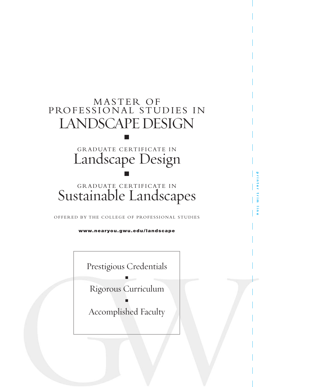### MASTER OF PROFESSIONAL STUDIES IN LANDSCAPE DESIGN

### GRADUATE CERTIFICATE IN Landscape Design n

n

### GRADUATE CERTIFICATE IN Sustainable Landscapes

OFFERED BY THE COLLEGE OF PROFESSIONAL STUDIES

www.nearyou.gwu.edu/landscape

Prestigious Credentials

n

Rigorous Curriculum

Accomplished Faculty

n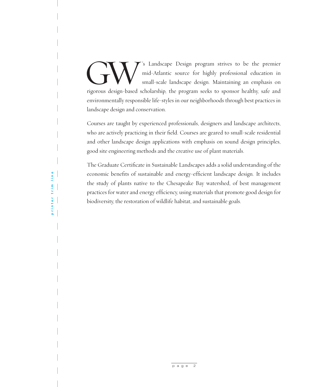GW T's Landscape Design program strives to be the premier<br>mid-Atlantic source for highly professional education in<br>small-scale landscape design. Maintaining an emphasis on<br>rigorous design-based scholarship, the program see mid-Atlantic source for highly professional education in small-scale landscape design. Maintaining an emphasis on rigorous design-based scholarship, the program seeks to sponsor healthy, safe and environmentally responsible life-styles in our neighborhoods through best practices in landscape design and conservation.

Courses are taught by experienced professionals, designers and landscape architects, who are actively practicing in their field. Courses are geared to small-scale residential and other landscape design applications with emphasis on sound design principles, good site engineering methods and the creative use of plant materials.

The Graduate Certificate in Sustainable Landscapes adds a solid understanding of the economic benefits of sustainable and energy-efficient landscape design. It includes the study of plants native to the Chesapeake Bay watershed, of best management practices for water and energy efficiency, using materials that promote good design for biodiversity, the restoration of wildlife habitat, and sustainable goals.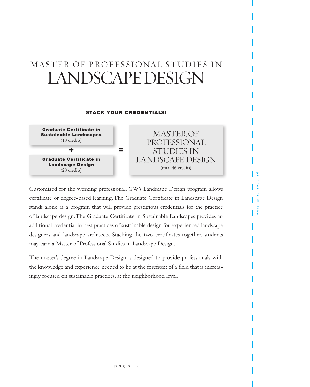### MASTER OF PROFESSIONAL STUDIES IN LANDSCAPE DESIGN

### **STACK YOUR CREDENTIALS!**



MASTER OF PROFESSIONAL STUDIES IN LANDSCAPE DESIGN (total 46 credits)

Customized for the working professional, GW's Landscape Design program allows certificate or degree-based learning. The Graduate Certificate in Landscape Design stands alone as a program that will provide prestigious credentials for the practice of landscape design. The Graduate Certificate in Sustainable Landscapes provides an additional credential in best practices of sustainable design for experienced landscape designers and landscape architects. Stacking the two certificates together, students may earn a Master of Professional Studies in Landscape Design.

The master's degree in Landscape Design is designed to provide professionals with the knowledge and experience needed to be at the forefront of a field that is increasingly focused on sustainable practices, at the neighborhood level.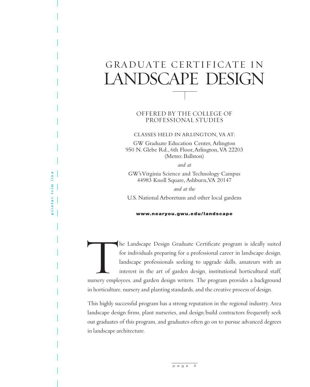### GRADUATE CERTIFICATE IN LANDSCAPE DESIGN

### OFFERED BY THE COLLEGE OF PROFESSIONAL STUDIES

CLASSES HELD IN ARLINGTON, VA AT:

GW Graduate Education Center, Arlington 950 N. Glebe Rd., 6th Floor, Arlington, VA 22203 (Metro: Ballston)

*and at*

GW's Virginia Science and Technology Campus 44983 Knoll Square, Ashburn, VA 20147

*and at the*

U.S. National Arboretum and other local gardens

### www.nearyou.gwu.edu/landscape

The Landscape Design Graduate Certificate program is ideally suited for individuals preparing for a professional career in landscape design, landscape professionals seeking to upgrade skills, amateurs with an interest in t for individuals preparing for a professional career in landscape design, landscape professionals seeking to upgrade skills, amateurs with an interest in the art of garden design, institutional horticultural staff, nursery employees, and garden design writers. The program provides a background in horticulture, nursery and planting standards, and the creative process of design.

This highly successful program has a strong reputation in the regional industry. Area landscape design firms, plant nurseries, and design/build contractors frequently seek out graduates of this program, and graduates often go on to pursue advanced degrees in landscape architecture.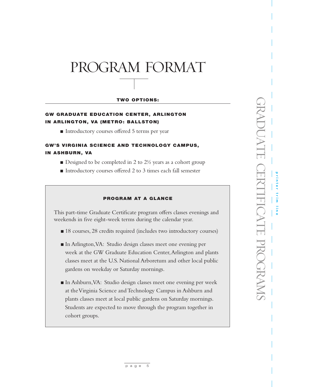### PROGRAM FORMAT

### TWO OPTIONS:

### GW GRADUATE EDUCATION CENTER, ARLINGTON IN ARLINGTON, VA (METRO: BALLSTON)

■ Introductory courses offered 5 terms per year

### **GW'S VIRGINIA SCIENCE AND TECHNOLOGY CAMPUS.** IN ASHBURN, VA

- $\blacksquare$  Designed to be completed in 2 to 2½ years as a cohort group
- Introductory courses offered 2 to 3 times each fall semester

### PROGRAM AT A GLANCE

This part-time Graduate Certificate program offers classes evenings and weekends in five eight-week terms during the calendar year.

- 18 courses, 28 credits required (includes two introductory courses)
- <sup>n</sup> In Arlington, VA: Studio design classes meet one evening per week at the GW Graduate Education Center, Arlington and plants classes meet at the U.S. National Arboretum and other local public gardens on weekday or Saturday mornings.
- <sup>n</sup> In Ashburn, VA: Studio design classes meet one evening per week at the Virginia Science and Technology Campus in Ashburn and plants classes meet at local public gardens on Saturday mornings. Students are expected to move through the program together in cohort groups.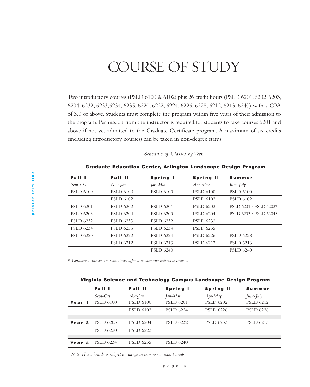# COURSE OF STUDY

Two introductory courses (PSLD 6100 & 6102) plus 26 credit hours (PSLD 6201, 6202, 6203, 6204, 6232, 6233,6234, 6235, 6220, 6222, 6224, 6226, 6228, 6212, 6213, 6240) with a GPA of 3.0 or above. Students must complete the program within five years of their admission to the program. Permission from the instructor is required for students to take courses 6201 and above if not yet admitted to the Graduate Certificate program. A maximum of six credits (including introductory courses) can be taken in non-degree status.

| <b>Graduate Education Center, Arlington Landscape Design Program</b> |                  |                  |                  |                          |  |  |  |
|----------------------------------------------------------------------|------------------|------------------|------------------|--------------------------|--|--|--|
| Fall I                                                               | Fall II          | Spring I         | Spring II        | Summer                   |  |  |  |
| $Sept-Oct$                                                           | Nov-Jan          | Jan-Mar          | $Apr-May$        | June-July                |  |  |  |
| <b>PSLD 6100</b>                                                     | <b>PSLD 6100</b> | <b>PSLD 6100</b> | <b>PSLD 6100</b> | <b>PSLD 6100</b>         |  |  |  |
|                                                                      | <b>PSLD 6102</b> |                  | <b>PSLD 6102</b> | <b>PSLD 6102</b>         |  |  |  |
| <b>PSLD 6201</b>                                                     | <b>PSLD 6202</b> | <b>PSLD 6201</b> | <b>PSLD 6202</b> | $PSLD 6201 / PSLD 6202*$ |  |  |  |
| <b>PSLD 6203</b>                                                     | <b>PSLD 6204</b> | <b>PSLD 6203</b> | <b>PSLD 6204</b> | PSLD 6203 / PSLD 6204*   |  |  |  |
| <b>PSLD 6232</b>                                                     | <b>PSLD 6233</b> | <b>PSLD 6232</b> | <b>PSLD 6233</b> |                          |  |  |  |
| <b>PSLD 6234</b>                                                     | <b>PSLD 6235</b> | <b>PSLD 6234</b> | <b>PSLD 6235</b> |                          |  |  |  |
| <b>PSLD 6220</b>                                                     | <b>PSLD 6222</b> | <b>PSLD 6224</b> | <b>PSLD 6226</b> | <b>PSLD 6228</b>         |  |  |  |
|                                                                      | <b>PSLD 6212</b> | <b>PSLD 6213</b> | <b>PSLD 6212</b> | <b>PSLD 6213</b>         |  |  |  |
|                                                                      |                  | <b>PSLD 6240</b> |                  | <b>PSLD 6240</b>         |  |  |  |

*Schedule of Classes by Term*

\* *Combined courses are sometimes offered as summer intensive courses*

| Virginia Science and Technology Campus Landscape Design Program |  |  |  |  |  |
|-----------------------------------------------------------------|--|--|--|--|--|
|-----------------------------------------------------------------|--|--|--|--|--|

|                   | Fall I           | Fall II          | Spring I         | Spring II        | Summer           |
|-------------------|------------------|------------------|------------------|------------------|------------------|
|                   | $Sept-Oct$       | Nov-Jan          | Jan-Mar          | $A$ pr-May       | June-July        |
| Year 1            | <b>PSLD 6100</b> | <b>PSLD 6100</b> | <b>PSLD 6201</b> | <b>PSLD 6202</b> | <b>PSLD 6212</b> |
|                   |                  | <b>PSLD 6102</b> | <b>PSLD 6224</b> | <b>PSLD 6226</b> | <b>PSLD 6228</b> |
|                   |                  |                  |                  |                  |                  |
| Year <sub>2</sub> | <b>PSLD 6203</b> | <b>PSLD 6204</b> | <b>PSLD 6232</b> | <b>PSLD 6233</b> | <b>PSLD 6213</b> |
|                   | <b>PSLD 6220</b> | <b>PSLD 6222</b> |                  |                  |                  |
|                   |                  |                  |                  |                  |                  |
| Year <sub>3</sub> | <b>PSLD 6234</b> | <b>PSLD 6235</b> | <b>PSLD 6240</b> |                  |                  |

*Note: This schedule is subject to change in response to cohort needs*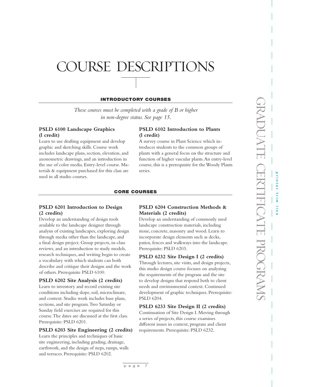# OURSE DESCRIPTIONS

### INTRODUCTORY COURSES

*These courses must be completed with a grade of B or higher in non-degree status. See page 15*.

### **PSLD 6100 Landscape Graphics (l credit)**

Learn to use drafting equipment and develop graphic and sketching skills. Course work includes landscape plans, section, elevation, and axonometric drawings, and an introduction in the use of color media. Entry-level course. Materials & equipment purchased for this class are used in all studio courses.

### **PSLD 6102 Introduction to Plants (l credit)**

A survey course in Plant Science which introduces students to the common groups of plants with a general focus on the structure and function of higher vascular plants. An entry-level course, this is a prerequisite for the Woody Plants series.

### CORE COURSES

### **PSLD 6201 Introduction to Design (2 credits)**

Develop an understanding of design tools available to the landscape designer through analysis of existing landscapes, exploring design through media other than the landscape, and a final design project. Group projects, in-class reviews, and an introduction to study models, research techniques, and writing begin to create a vocabulary with which students can both describe and critique their designs and the work of others. Prerequisite PSLD 6100.

### **PSLD 6202 Site Analysis (2 credits)**

Learn to inventory and record existing site conditions including slope, soil, microclimate, and context. Studio work includes base plans, sections, and site program. Two Saturday or Sunday field exercises are required for this course. The dates are discussed at the first class. Prerequisite: PSLD 6201.

### **PSLD 6203 Site Engineering (2 credits)**

Learn the principles and techniques of basic site engineering, including grading, drainage, earthwork, and the design of steps, ramps, walls and terraces. Prerequisite: PSLD 6202.

### **PSLD 6204 Construction Methods & Materials (2 credits)**

Develop an understanding of commonly used landscape construction materials, including stone, concrete, masonry and wood. Learn to incorporate design elements such as decks, patios, fences and walkways into the landscape. Prerequisite: PSLD 6203.

### **PSLD 6232 Site Design I (2 credits)**

Through lectures, site visits, and design projects, this studio design course focuses on analyzing the requirements of the program and the site to develop designs that respond both to client needs and environmental context. Continued development of graphic techniques. Prerequisite: PSLD 6204.

### **PSLD 6233 Site Design II (2 credits)**

Continuation of Site Design I. Moving through a series of projects, this course examines different issues in context, program and client requirements. Prerequisite: PSLD 6232.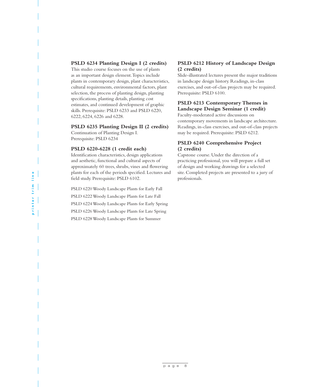### **PSLD 6234 Planting Design I (2 credits)**

This studio course focuses on the use of plants as an important design element. Topics include plants in contemporary design, plant characteristics, cultural requirements, environmental factors, plant selection, the process of planting design, planting specifications, planting details, planting cost estimates, and continued development of graphic skills. Prerequisite: PSLD 6233 and PSLD 6220, 6222, 6224, 6226 and 6228.

### **PSLD 6235 Planting Design II (2 credits)**

Continuation of Planting Design I. Prerequisite: PSLD 6234

### **PSLD 6220-6228 (1 credit each)**

Identification characteristics, design applications and aesthetic, functional and cultural aspects of approximately 60 trees, shrubs, vines and flowering plants for each of the periods specified. Lectures and field study. Prerequisite: PSLD 6102.

PSLD 6220 Woody Landscape Plants for Early Fall PSLD 6222 Woody Landscape Plants for Late Fall PSLD 6224 Woody Landscape Plants for Early Spring PSLD 6226 Woody Landscape Plants for Late Spring PSLD 6228 Woody Landscape Plants for Summer

### **PSLD 6212 History of Landscape Design (2 credits)**

Slide-illustrated lectures present the major traditions in landscape design history. Readings, in-class exercises, and out-of-class projects may be required. Prerequisite: PSLD 6100.

### **PSLD 6213 Contemporary Themes in Landscape Design Seminar (1 credit)**

Faculty-moderated active discussions on contemporary movements in landscape architecture. Readings, in-class exercises, and out-of-class projects may be required. Prerequisite: PSLD 6212.

### **PSLD 6240 Comprehensive Project (2 credits)**

Capstone course. Under the direction of a practicing professional, you will prepare a full set of design and working drawings for a selected site. Completed projects are presented to a jury of professionals.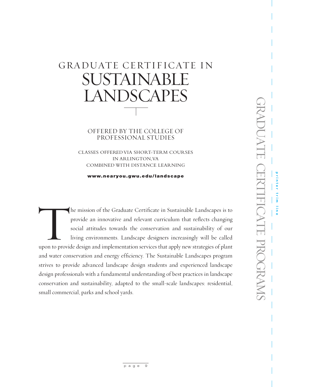### GRADUATE CERTIFICATE IN SUSTAINABLE LANDSCAPES

OFFERED BY THE COLLEGE OF PROFESSIONAL STUDIES

CLASSES OFFERED VIA SHORT-TERM COURSES IN ARLINGTON, VA COMBINED WITH DISTANCE LEARNING

www.nearyou.gwu.edu/landscape

The mission of the Graduate Certificate in Sustainable Landscapes is to provide an innovative and relevant curriculum that reflects changing social attitudes towards the conservation and sustainability of our living enviro provide an innovative and relevant curriculum that reflects changing social attitudes towards the conservation and sustainability of our living environments. Landscape designers increasingly will be called and water conservation and energy efficiency. The Sustainable Landscapes program strives to provide advanced landscape design students and experienced landscape design professionals with a fundamental understanding of best practices in landscape conservation and sustainability, adapted to the small-scale landscapes: residential, small commercial, parks and school yards.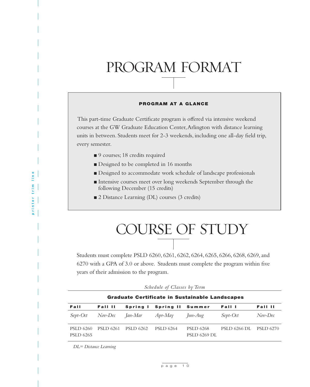# PROGRAM FORMAT

### PROGRAM AT A GLANCE

This part-time Graduate Certificate program is offered via intensive weekend courses at the GW Graduate Education Center, Arlington with distance learning units in between. Students meet for 2-3 weekends, including one all-day field trip, every semester.

- 9 courses; 18 credits required
- Designed to be completed in 16 months
- <sup>n</sup> Designed to accommodate work schedule of landscape professionals
- <sup>n</sup> Intensive courses meet over long weekends September through the following December (15 credits)
- 2 Distance Learning (DL) courses (3 credits)

# COURSE OF STUDY

Students must complete PSLD 6260, 6261, 6262, 6264, 6265, 6266, 6268, 6269, and 6270 with a GPA of 3.0 or above. Students must complete the program within five years of their admission to the program.

| Schedule of Classes by Term |  |  |  |  |
|-----------------------------|--|--|--|--|
|-----------------------------|--|--|--|--|

| <b>Graduate Certificate in Sustainable Landscapes</b> |                  |                  |                           |                                         |                        |                  |  |  |
|-------------------------------------------------------|------------------|------------------|---------------------------|-----------------------------------------|------------------------|------------------|--|--|
| Fall                                                  | Fall II          |                  | Spring I Spring II Summer |                                         | Fall I                 | Fall II          |  |  |
| Sept-Oct                                              | $Nov\text{-}Dec$ | Ian-Mar          | Apr-May                   | Jun-Aug                                 | Sept-Oct               | $Nov\text{-}Dec$ |  |  |
| <b>PSLD 6260</b><br><b>PSLD 6265</b>                  | <b>PSLD 6261</b> | <b>PSLD 6262</b> | <b>PSLD 6264</b>          | <b>PSLD 6268</b><br><b>PSLD 6269 DL</b> | PSLD 6266 DL PSLD 6270 |                  |  |  |

*DL= Distance Learning*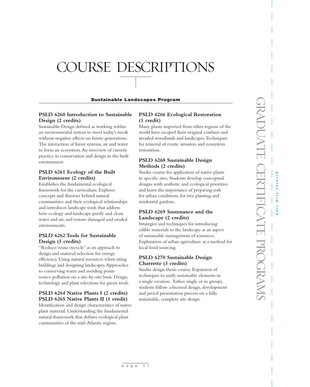# COURSE DESCRIPTIONS

### Sustainable Landscapes Program

### **PSLD 6260 Introduction to Sustainable Design (2 credits)**

Sustainable Design defined as working within an environmental system to meet today's needs without negative effects on future generations. The interaction of forest systems, air and water to form an ecosystem. An overview of current practice in conservation and design in the built environment.

### **PSLD 6261 Ecology of the Built Environment (2 credits)**

Establishes the fundamental ecological framework for the curriculum. Explores concepts and theories behind natural communities and their ecological relationships and introduces landscape tools that address how ecology and landscape purify and clean water and air, and restore damaged and eroded environments.

### **PSLD 6262 Tools for Sustainable Design (3 credits)**

"Reduce/reuse/recycle" as an approach to design and material selection for energy efficiency. Using natural resources when siting buildings and designing landscapes. Approaches to conserving water and avoiding pointsource pollution on a site-by-site basis. Design, technology and plant selections for green roofs.

### **PSLD 6264 Native Plants I (2 credits) PSLD 6265 Native Plants II (1 credit)**

Identification and design characteristics of native plant material. Understanding the fundamental natural framework that defines ecological plant communities of the mid-Atlantic region.

### **PSLD 6266 Ecological Restoration (1 credit)**

Many plants imported from other regions of the world have escaped their original confines and invaded woodlands and landscapes. Techniques for removal of exotic invasives and ecosystem restoration.

### **PSLD 6268 Sustainable Design Methods (2 credits)**

Studio course for application of native plants to specific sites. Students develop conceptual designs with aesthetic and ecological priorities and learn the importance of preparing soils for urban conditions, for tree planting and residential gardens.

### **PSLD 6269 Sustenance and the Landscape (2 credits)**

Strategies and techniques for introducing edible materials to the landscape as an aspect of sustainable management of resources. Exploration of urban agriculture as a method for local food sourcing.

### **PSLD 6270 Sustainable Design Charrette (3 credits)**

Studio design thesis course. Expansion of techniques to unify sustainable elements in a single creation. Either singly or in groups, students follow a focused design, development and juried presentation process on a fully sustainable, complete site design.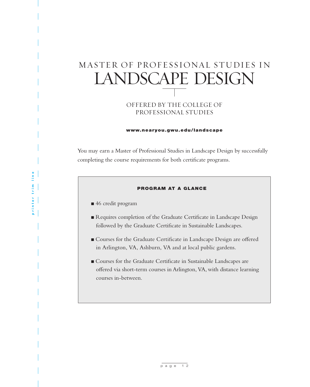### MASTER OF PROFESSIONAL STUDIES IN LANDSCAPE DESIGN

### OFFERED BY THE COLLEGE OF PROFESSIONAL STUDIES

### www.nearyou.gwu.edu/landscape

You may earn a Master of Professional Studies in Landscape Design by successfully completing the course requirements for both certificate programs.

### PROGRAM AT A GLANCE

- 46 credit program
- Requires completion of the Graduate Certificate in Landscape Design followed by the Graduate Certificate in Sustainable Landscapes.
- <sup>n</sup>Courses for the Graduate Certificate in Landscape Design are offered in Arlington, VA, Ashburn, VA and at local public gardens.
- <sup>n</sup> Courses for the Graduate Certificate in Sustainable Landscapes are offered via short-term courses in Arlington, VA, with distance learning courses in-between.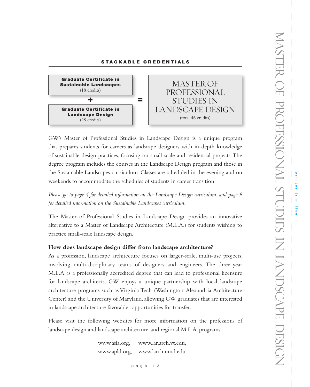### STACKABLE CREDENTIALS



GW's Master of Professional Studies in Landscape Design is a unique program that prepares students for careers as landscape designers with in-depth knowledge of sustainable design practices, focusing on small-scale and residential projects. The degree program includes the courses in the Landscape Design program and those in the Sustainable Landscapes curriculum. Classes are scheduled in the evening and on weekends to accommodate the schedules of students in career transition.

*Please go to page 4 for detailed information on the Landscape Design curriculum, and page 9 for detailed information on the Sustainable Landscapes curriculum.* 

The Master of Professional Studies in Landscape Design provides an innovative alternative to a Master of Landscape Architecture (M.L.A.) for students wishing to practice small-scale landscape design.

### **How does landscape design differ from landscape architecture?**

As a profession, landscape architecture focuses on larger-scale, multi-use projects, involving multi-disciplinary teams of designers and engineers. The three-year M.L.A. is a professionally accredited degree that can lead to professional licensure for landscape architects. GW enjoys a unique partnership with local landscape architecture programs such as Virginia Tech (Washington-Alexandria Architecture Center) and the University of Maryland, allowing GW graduates that are interested in landscape architecture favorable opportunities for transfer.

Please visit the following websites for more information on the professions of landscape design and landscape architecture, and regional M.L.A. programs:

> www.asla.org, www.lar.arch.vt.edu, www.apld.org, www.larch.umd.edu

> > $p \overline{q}$  age 13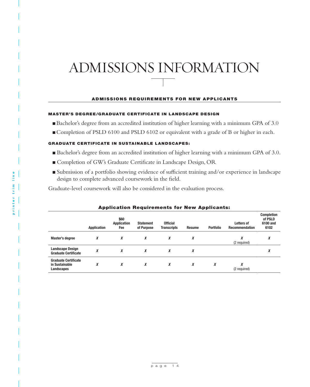## ADMISSIONS INFORMATION

### ADMISSIONS REQUIREMENTS FOR NEW APPLICANTS

### MASTER'S DEGREE/GRADUATE CERTIFICATE IN LANDSCAPE DESIGN

- ■Bachelor's degree from an accredited institution of higher learning with a minimum GPA of 3.0
- <sup>n</sup> Completion of PSLD 6100 and PSLD 6102 or equivalent with a grade of B or higher in each.

### **GRADUATE CERTIFICATE IN SUSTAINABLE LANDSCAPES:**

- Bachelor's degree from an accredited institution of higher learning with a minimum GPA of 3.0.
- <sup>n</sup>Completion of GW's Graduate Certificate in Landscape Design, OR
- Submission of a portfolio showing evidence of sufficient training and/or experience in landscape design to complete advanced coursework in the field.

Graduate-level coursework will also be considered in the evaluation process.

|                                                             | ------             |                                   |                                |                                       |               | -------          |                                     |                                                  |
|-------------------------------------------------------------|--------------------|-----------------------------------|--------------------------------|---------------------------------------|---------------|------------------|-------------------------------------|--------------------------------------------------|
|                                                             | <b>Application</b> | \$60<br><b>Application</b><br>Fee | <b>Statement</b><br>of Purpose | <b>Official</b><br><b>Transcripts</b> | <b>Resume</b> | <b>Portfolio</b> | Letters of<br><b>Recommendation</b> | <b>Completion</b><br>of PSLD<br>6100 and<br>6102 |
| <b>Master's degree</b>                                      | X                  | X                                 | X                              | X                                     | X             |                  | X<br>(2 required)                   | X                                                |
| <b>Landscape Design</b><br><b>Graduate Certificate</b>      | X                  | X                                 | X                              | X                                     | X             |                  |                                     | v<br>л                                           |
| <b>Graduate Certificate</b><br>in Sustainable<br>Landscapes | X                  | X                                 | X                              | X                                     | X             | X                | X<br>(2 required)                   |                                                  |

### Application Requirements for New Applicants: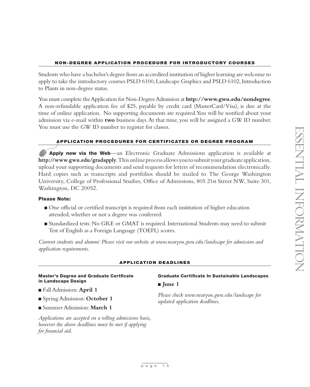### NON-DEGREE APPLICATION PROCEDURE FOR INTRODUCTORY COURSES

Students who have a bachelor's degree from an accredited institution of higher learning are welcome to apply to take the introductory courses PSLD 6100, Landscape Graphics and PSLD 6102, Introduction to Plants in non-degree status.

You must complete the Application for Non-Degree Admission at **http://www.gwu.edu/nondegree**. A non-refundable application fee of \$25, payable by credit card (MasterCard/Visa), is due at the time of online application. No supporting documents are required. You will be notified about your admission via e-mail within **two** business days. At that time, you will be assigned a GW ID number. You must use the GW ID number to register for classes.

### APPLICATION PROCEDURES FOR CERTIFICATES OR DEGREE PROGRAM

Apply now via the Web—an Electronic Graduate Admissions application is available at **http://www.gwu.edu/gradapply**. This online process allows you to submit your graduate application, upload your supporting documents and send requests for letters of recommendation electronically. Hard copies such as transcripts and portfolios should be mailed to The George Washington University, College of Professional Studies, Office of Admissions, 805 21st Street NW, Suite 301, Washington, DC 20052.

### Please Note:

- <sup>n</sup>One official or certified transcript is required from each institution of higher education attended, whether or not a degree was conferred.
- Standardized tests: No GRE or GMAT is required. International Students may need to submit Test of English as a Foreign Language (TOEFL) scores.

*Current students and alumni: Please visit our website at www.nearyou.gwu.edu/landscape for admission and application requirements.*

### APPLICATION DEADLINES

### Master's Degree and Graduate Certficate in Landscape Design

- <sup>n</sup> Fall Admission: **April 1**
- Spring Admission: **October 1**
- <sup>n</sup> Summer Admission: **March 1**

*Applications are accepted on a rolling admissions basis, however the above deadlines must be met if applying for financial aid.*

### Graduate Certificate In Sustainable Landscapes

**n** June 1

*Please check www.nearyou.gwu.edu/landscape for updated application deadlines.*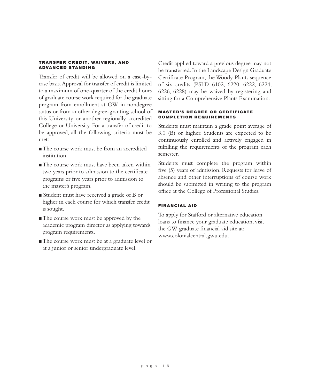### TRANSFER CREDIT, WAIVERS, AND ADVANCED STANDING

Transfer of credit will be allowed on a case-bycase basis. Approval for transfer of credit is limited to a maximum of one-quarter of the credit hours of graduate course work required for the graduate program from enrollment at GW in nondegree status or from another degree-granting school of this University or another regionally accredited College or University. For a transfer of credit to be approved, all the following criteria must be met:

- <sup>n</sup> The course work must be from an accredited institution.
- $\blacksquare$  The course work must have been taken within two years prior to admission to the certificate programs or five years prior to admission to the master's program.
- Student must have received a grade of B or higher in each course for which transfer credit is sought.
- The course work must be approved by the academic program director as applying towards program requirements.
- The course work must be at a graduate level or at a junior or senior undergraduate level.

Credit applied toward a previous degree may not be transferred. In the Landscape Design Graduate Certificate Program, the Woody Plants sequence of six credits (PSLD 6102, 6220, 6222, 6224, 6226, 6228) may be waived by registering and sitting for a Comprehensive Plants Examination.

### **MASTER'S DEGREE OR CERTIFICATE** COMPLETION REQUIREMENTS

Students must maintain a grade point average of 3.0 (B) or higher. Students are expected to be continuously enrolled and actively engaged in fulfilling the requirements of the program each semester.

Students must complete the program within five (5) years of admission. Requests for leave of absence and other interruptions of course work should be submitted in writing to the program office at the College of Professional Studies.

### FINANCIAL AID

To apply for Stafford or alternative education loans to finance your graduate education, visit the GW graduate financial aid site at: www.colonialcentral.gwu.edu.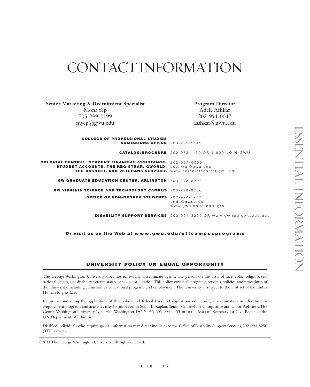### CONTACT INFORMATION

**Senior Marketing & Recruitment Specialist** Mona Yep 703-299-0199 myep@gwu.edu **Program Director** Adele Ashkar 202-994-0047 aashkar@gwu.edu **COLLEGE OF PROFESSIONAL STUDIES** ADMISSIONS OFFICE 703-299-9142 CATALOG/BROCHURE 202-973-1130 OR 1-800-JOIN-GWU COLONIAL CENTRAL: STUDENT FINANCIAL ASSISTANCE, 202-994-9000  $\texttt{STUDENT}\textbf{ ACCOUNTS},\textbf{THE REGISTRAR},\textbf{GWORLD},\textbf{ ccentral@gwu.edu}$ THE CASHIER, AND VETERANS SERVICES www.colonialcentral.gwu.edu GW GRADUATE EDUCATION CENTER, ARLINGTON 703-248-6200 GW VIRGINIA SCIENCE AND TECHNOLOGY CAMPUS 703-726-8200 OFFICE OF NON-DEGREE STUDENTS 202-994-1972 DISABILITY SUPPORT SERVICES 202-994-8250 OR www.gwired.gwu.edu/dss onds@gwu.edu www.gwu.edu/nondegree

Or visit us on the Web at www.gwu.edu/offcampusprograms

### UNIVERSITY POLICY ON EQUAL OPPORTUNITY

The George Washington University does not unlawfully discriminate against any person on the basis of race, color, religion, sex, national origin, age, disability, veteran status, or sexual orientation. This policy covers all programs, services, policies, and procedures of the University, including admission to educational programs and employment. The University is subject to the District of Columbia Human Rights Law.

Inquiries concerning the application of this policy and federal laws and regulations concerning discrimination in education or employment programs and activities may be addressed to Susan B. Kaplan, Senior Counsel for Compliance and Labor Relations, The George Washington University, Rice Hall, Washington, DC 20052, 202-994-4433, or to the Assistant Secretary for Civil Rights of the U.S. Department of Education.

Disabled individuals who require special information may direct inquiries to the Office of Disability Support Services, 202-994-8250 (TDD/voice).

©2011 The George Washington University. All rights reserved.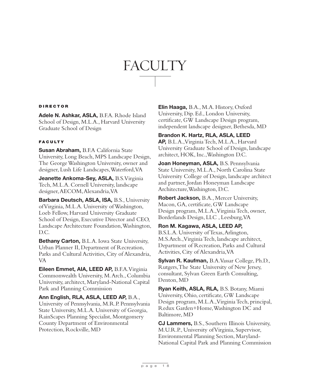# **FACULTY**

### DIRECTOR

Adele N. Ashkar, ASLA, B.F.A. Rhode Island School of Design, M.L.A., Harvard University Graduate School of Design

### **FACULTY**

Susan Abraham, B.F.A California State University, Long Beach, MPS Landscape Design, The George Washington University, owner and designer, Lush Life Landscapes, Waterford, VA

Jeanette Ankoma-Sey, ASLA, B.S. Virginia Tech, M.L.A. Cornell University, landscape designer, AECOM, Alexandria, VA

Barbara Deutsch, ASLA, ISA, B.S., University of Virginia, M.L.A. University of Washington, Loeb Fellow, Harvard University Graduate School of Design, Executive Director and CEO, Landscape Architecture Foundation, Washington, D.C.

Bethany Carton, B.L.A. Iowa State University, Urban Planner II, Department of Recreation, Parks and Cultural Activities, City of Alexandria, VA

Eileen Emmet, AIA, LEED AP, B.F.A. Virginia Commonwealth University, M. Arch., Columbia University, architect, Maryland-National Capital Park and Planning Commission

Ann English, RLA, ASLA, LEED AP, B.A., University of Pennsylvania, M.R.P. Pennsylvania State University, M.L.A. University of Georgia, RainScapes Planning Specialist, Montgomery County Department of Environmental Protection, Rockville, MD

Elin Haaga, B.A., M.A. History, Oxford University, Dip. Ed., London University, certificate, GW Landscape Design program, independent landscape designer, Bethesda, MD

### Brandon K. Hartz, RLA, ASLA, LEED

AP, B.L.A.,Virginia Tech, M.L.A., Harvard University Graduate School of Design, landscape architect, HOK, Inc.,Washington D.C.

Joan Honeyman, ASLA, B.S. Pennsylvania State University, M.L.A., North Carolina State University College of Design, landscape architect and partner, Jordan Honeyman Landscape Architecture,Washington, D.C.

Robert Jackson, B.A., Mercer University, Macon, GA, certificate, GW Landscape Design program, M.L.A., Virginia Tech, owner, Borderlands Design, LLC , Leesburg, VA

Ron M. Kagawa, ASLA, LEED AP, B.S.L.A. University of Texas, Arlington, M.S.Arch.,Virginia Tech, landscape architect, Department of Recreation, Parks and Cultural Activities, City of Alexandria, VA

Sylvan R. Kaufman, B.A. Vassar College, Ph.D., Rutgers, The State University of New Jersey, consultant, Sylvan Green Earth Consulting, Denton, MD

Ryan Keith, ASLA, RLA, B.S. Botany, Miami University, Ohio, certificate, GW Landscape Design program, M.L.A., Virginia Tech, principal, Redux Garden+Home, Washington DC and Baltimore, MD

CJ Lammers, B.S., Southern Illinois University, M.U.R.P., University of Virginia, Supervisor, Environmental Planning Section, Maryland-National Capital Park and Planning Commission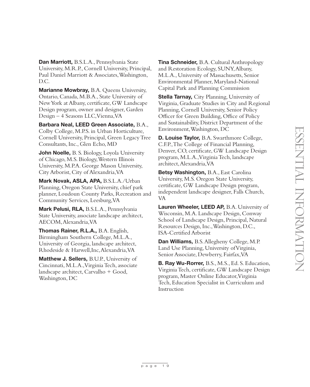Dan Marriott, B.S.L.A., Pennsylvania State University, M.R.P., Cornell University, Principal, Paul Daniel Marriott & Associates, Washington, D.C.

Marianne Mowbray, B.A. Queens University, Ontario, Canada, M.B.A., State University of New York at Albany, certificate, GW Landscape Design program, owner and designer, Garden Design – 4 Seasons LLC, Vienna, VA

Barbara Neal, LEED Green Associate, B.A., Colby College, M.P.S. in Urban Horticulture, Cornell University, Principal, Green Legacy Tree Consultants, Inc., Glen Echo, MD

**John Noelle, B. S. Biology, Loyola University** of Chicago, M.S. Biology, Western Illinois University, M.P.A. George Mason University, City Arborist, City of Alexandria, VA

Mark Novak, ASLA, APA, B.S.L.A./Urban Planning, Oregon State University, chief park planner, Loudoun County Parks, Recreation and Community Services, Leesburg, VA

Mark Pelusi, RLA, B.S.L.A., Pennsylvania State University, associate landscape architect, AECOM, Alexandria, VA

Thomas Rainer, R.L.A., B.A. English, Birmingham Southern College, M.L.A., University of Georgia, landscape architect, Rhodeside & Harwell,Inc, Alexandria, VA

Matthew J. Sellers, B.U.P., University of Cincinnati, M.L.A.,Virginia Tech, associate landscape architect, Carvalho + Good, Washington, DC

**Tina Schneider, B.A. Cultural Anthropology** and Restoration Ecology, SUNY, Albany, M.L.A., University of Massachusetts, Senior Environmental Planner, Maryland-National Capital Park and Planning Commission

**Stella Tarnay, City Planning, University of** Virginia, Graduate Studies in City and Regional Planning, Cornell University, Senior Policy Officer for Green Building, Office of Policy and Sustainability, District Department of the Environment, Washington, DC

**D. Louise Taylor, B.A. Swarthmore College,** C.F.P., The College of Financial Planning, Denver, CO, certificate, GW Landscape Design program, M.L.A., Virginia Tech, landscape architect, Alexandria, VA

Betsy Washington, B.A., East Carolina University, M.S. Oregon State University, certificate, GW Landscape Design program, independent landscape designer, Falls Church, VA

Lauren Wheeler, LEED AP, B.A. University of Wisconsin, M.A. Landscape Design, Conway School of Landscape Design, Principal, Natural Resources Design, Inc., Washington, D.C., ISA-Certified Arborist

Dan Williams, B.S. Allegheny College, M.P. Land Use Planning, University of Virginia, Senior Associate, Dewberry, Fairfax, VA

B. Ray Wu-Rorrer, B.S., M.S., Ed. S. Education, Virginia Tech, certificate, GW Landscape Design program, Master Online Educator, Virginia Tech, Education Specialist in Curriculum and Instruction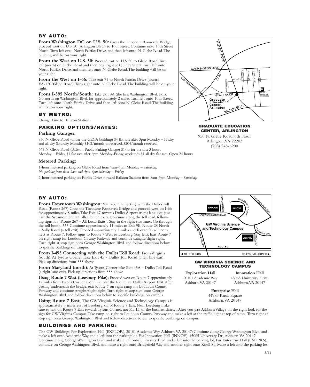### BY AUTO:

From Washington DC on U.S. 50: Cross the Theodore Roosevelt Bridge, proceed west on U.S. 50 (Arlington Blvd.) to 10th Street. Continue onto 10th Street North. Turn left onto North Fairfax Drive, and then left onto N. Glebe Road. The building will be on your right.

From the West on U.S. 50: Proceed east on U.S. 50 to Glebe Road. Turn left (north) on Glebe Road and then bear right at Quincy Street. Turn left onto North Fairfax Drive, and then left onto N. Glebe Road. The building will be on your right.

From the West on I-66: Take exit 71 to North Fairfax Drive (toward VA-120/Glebe Road). Turn right onto N. Glebe Road. The building will be on your right.

From I-395 North/South: Take exit 8A (the first Washington Blvd. exit). Go north on Washington Blvd. for approximately 2 miles. Turn left onto 10th Street. Turn left onto North Fairfax Drive, and then left onto N. Glebe Road. The building will be on your right.

#### BY METRO:

Orange Line to Ballston Station.

### PARKING OPTIONS/RATES:

#### **Parking Garages:**

950 N. Glebe Road (under the GECA building) \$4 flat rate after 3pm Monday – Friday and all day Saturday. Monthly \$102/month unreserved, \$204/month reserved.

665 N. Glebe Road (Ballston Public Parking Garage) \$1/hr for the first 3 hours Monday – Friday, \$1 flat rate after 6pm Monday-Friday, weekends \$1 all day flat rate. Open 24 hours.

#### **Metered Parking:**

1-hour metered parking on Glebe Road from 9am-6pm Monday – Saturday. *No parking from 6am-9am and 4pm-6pm Monday – Friday.* 

2-hour metered parking on Fairfax Drive (toward Ballston Station) from 8am-6pm Monday – Saturday.

### BY AUTO:

**From Downtown Washington:** Via I-66 Connecting with the Dulles Toll Road (Route 267) Cross the Theodore Roosevelt Bridge and proceed west on I-66 for approximately 8 miles. Take Exit 67 towards Dulles Airport (right lane exit, just past the Sycamore Street/Falls Church exit). Continue along the toll road, following signs for "Route 267 – All Local Exits". Stay in the right two lanes. Go through the toll booth. \*\*\* Continue approximately 11 miles to Exit 9B, Route 28 North – Sully Road (a toll exit). Proceed approximately 5 miles and Route 28 will connect at Route 7. Follow signs to Route 7 West to Leesburg (stay left). Exit Route 7 on right ramp for Loudoun County Parkway and continue straight/slight right. Turn right at stop sign onto George Washington Blvd. and follow directions below to specific buildings on campus.

From I-495 Connecting with the Dulles Toll Road: From Virginia (south): At Tysons Corner Take Exit 45 - Dulles Toll Road (a left lane exit). Pick up directions from \*\*\* above.

From Maryland (north): At Tysons Corner take Exit 45A – Dulles Toll Road (a right lane exit). Pick up directions from \*\*\* above.

**Using Route 7 West (Leesburg Pike):** Proceed west on Route 7 approximately 12 miles from Tysons Corner. Continue past the Route 28 Dulles Airport Exit. After passing underneath the bridge, exit Route 7 on right ramp for Loudoun County Parkway and continue straight/slight right. Turn right at stop sign onto George Washington Blvd. and follow directions below to specific buildings on campus.

**Using Route 7 East:** The GW Virginia Science and Technology Campus is approximately 8 miles east of Leesburg, off of Route 7 East. Near Leesburg make

sure to stay on Route 7 East towards Tysons Corner, not Rt. 15, or the business district. After you pass Ashburn Village on the right look for the sign for GW Virginia Campus. Take ramp on right to Loudoun County Parkway and make a left at the traffic light at top of ramp. Turn right at stop sign onto George Washington Blvd and follow directions below to specific buildings on campus.

### BUILDINGS AND PARKING:

The GW Buildings: For Exploration Hall (EXPLOR), 20101 Academic Way, Ashburn, VA 20147: Continue along George Washington Blvd. and make a left onto Academic Way and a left into the parking lot. For Innovation Hall (INNOV), 45065 University Dr., Ashburn, VA 20147: Continue along George Washington Blvd. and make a left onto University Blvd. and a left into the parking lot. For Enterprise Hall (ENTPRS), continue on George Washington Blvd. and make a right onto Bridgefield Way and another right onto Knoll Sq. Make a left into the parking lot.



#### GRADUATE EDUCATION CENTER, ARLINGTON

950 N. Glebe Road, 6th Floor Arlington, VA 22203 (703) 248-6200



**Exploration Hall** 20101 Academic Way Ashburn, VA 20147

**Innovation Hall** 45065 University Drive Ashburn, VA 20147

**Enterprise Hall** 44983 Knoll Square Ashburn, VA 20147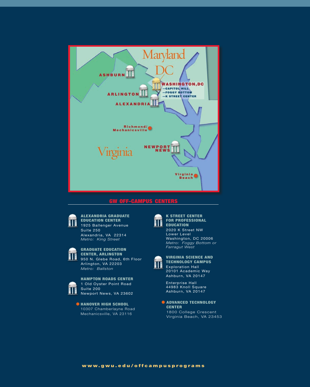

### GW OFF-CAMPUS CENTERS



#### ALEXANDRIA GRADUATE EDUCATION CENTER 1925 Ballenger Avenue

Suite 250 Alexandria, VA 22314 *Metro: King Street*



### GRADUATE EDUCATION CENTER, ARLINGTON

950 N. Glebe Road, 6th Floor Arlington, VA 22203 *Metro: Ballston*



### HAMPTON ROADS CENTER

1 Old Oyster Point Road Suite 200 Newport News, VA 23602

 $\bullet$  **HANOVER HIGH SCHOOL** 10307 Chamberlayne Road Mechanicsville, VA 23116



### K STREET CENTER FOR PROFESSIONAL EDUCATION

2020 K Street NW Lower Level Washington, DC 20006 *Metro: Foggy Bottom or Farragut West*



#### VIRGINIA SCIENCE AND TECHNOLOGY CAMPUS Exploration Hall 20101 Academic Way

Enterprise Hall 44983 Knoll Square Ashburn, VA 20147

**CADVANCED TECHNOLOGY** CENTER 1800 College Crescent Virginia Beach, VA 23453